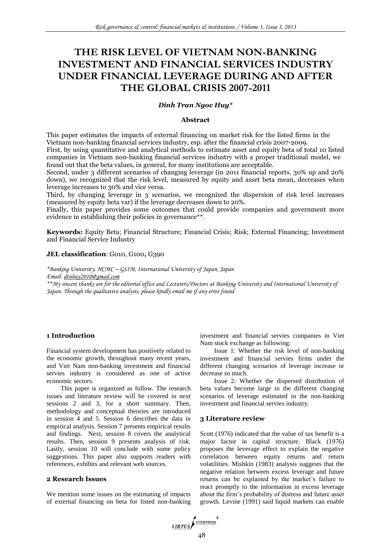# **THE RISK LEVEL OF VIETNAM NON-BANKING INVESTMENT AND FINANCIAL SERVICES INDUSTRY UNDER FINANCIAL LEVERAGE DURING AND AFTER THE GLOBAL CRISIS 2007-2011**

## *Dinh Tran Ngoc Huy\**

## **Abstract**

This paper estimates the impacts of external financing on market risk for the listed firms in the Vietnam non-banking financial services industry, esp. after the financial crisis 2007-2009.

First, by using quantitative and analytical methods to estimate asset and equity beta of total 10 listed companies in Vietnam non-banking financial services industry with a proper traditional model, we found out that the beta values, in general, for many institutions are acceptable.

Second, under 3 different scenarios of changing leverage (in 2011 financial reports, 30% up and 20% down), we recognized that the risk level, measured by equity and asset beta mean, decreases when leverage increases to 30% and vice versa.

Third, by changing leverage in 3 scenarios, we recognized the dispersion of risk level increases (measured by equity beta var) if the leverage decreases down to 20%.

Finally, this paper provides some outcomes that could provide companies and government more evidence in establishing their policies in governance\*\*.

**Keywords:** Equity Beta; Financial Structure; Financial Crisis; Risk; External Financing; Investment and Financial Service Industry

## **JEL classification**: G010, G100**,** G390

*\*Banking University, HCMC – GSIM, International University of Japan, Japan Email: [dtnhuy2010@gmail.com](mailto:dtnhuy2010@gmail.com)*

*\*\*My sincere thanks are for the editorial office and Lecturers/Doctors at Banking University and International University of Japan. Through the qualitative analysis, please kindly email me if any error found*

## **1 Introduction**

Financial system development has positively related to the economic growth, throughout many recent years, and Viet Nam non-banking investment and financial servies industry is considered as one of active economic sectors.

This paper is organized as follow. The research issues and literature review will be covered in next sessions 2 and 3, for a short summary. Then, methodology and conceptual theories are introduced in session 4 and 5. Session 6 describes the data in empirical analysis. Session 7 presents empirical results and findings. Next, session 8 covers the analytical results. Then, session 9 presents analysis of risk. Lastly, session 10 will conclude with some policy suggestions. This paper also supports readers with references, exhibits and relevant web sources.

## **2 Research Issues**

We mention some issues on the estimating of impacts of external financing on beta for listed non-banking investment and financial servies companies in Viet Nam stock exchange as following:

Issue 1: Whether the risk level of non-banking investment and financial servies firms under the different changing scenarios of leverage increase or decrease so much.

Issue 2: Whether the dispersed distribution of beta values become large in the different changing scenarios of leverage estimated in the non-banking investment and financial servies industry.

#### **3 Literature review**

Scott (1976) indicated that the value of tax benefit is a major factor in capital structure. Black (1976) proposes the leverage effect to explain the negative correlation between equity returns and return volatilities. Mishkin (1983) analysis suggests that the negative relation between excess leverage and future returns can be explained by the market's failure to react promptly to the information in excess leverage about the firm's probability of distress and future asset growth. Levine (1991) said liquid markets can enable

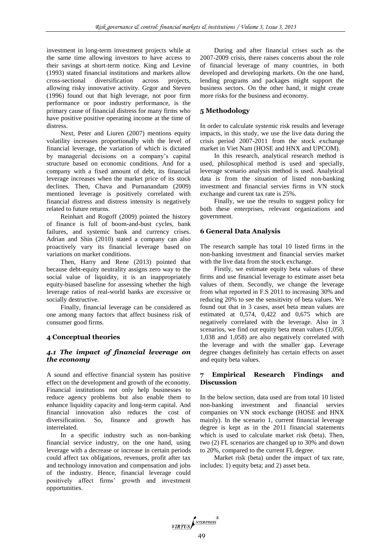investment in long-term investment projects while at the same time allowing investors to have access to their savings at short-term notice. King and Levine (1993) stated financial institutions and markets allow cross-sectional diversification across projects, allowing risky innovative activity. Grgor and Steven (1996) found out that high leverage, not poor firm performance or poor industry performance, is the primary cause of financial distress for many firms who have positive positive operating income at the time of distress.

Next, Peter and Liuren (2007) mentions equity volatility increases proportionally with the level of financial leverage, the variation of which is dictated by managerial decisions on a company's capital structure based on economic conditions. And for a company with a fixed amount of debt, its financial leverage increases when the market price of its stock declines. Then, Chava and Purnanandam (2009) mentioned leverage is positively correlated with financial distress and distress intensity is negatively related to future returns.

Reinhart and Rogoff (2009) pointed the history of finance is full of boom-and-bust cycles, bank failures, and systemic bank and currency crises. Adrian and Shin (2010) stated a company can also proactively vary its financial leverage based on variations on market conditions.

Then, Harry and Rene (2013) pointed that because debt-equity neutrality assigns zero way to the social value of liquidity, it is an inappropriately equity-biased baseline for assessing whether the high leverage ratios of real-world banks are excessive or socially destructive.

Finally, financial leverage can be considered as one among many factors that affect business risk of consumer good firms.

## **4 Conceptual theories**

## *4.1 The impact of financial leverage on the economy*

A sound and effective financial system has positive effect on the development and growth of the economy. Financial institutions not only help businesses to reduce agency problems but also enable them to enhance liquidity capacity and long-term capital. And financial innovation also reduces the cost of diversification. So, finance and growth has interrelated.

In a specific industry such as non-banking financial service industry, on the one hand, using leverage with a decrease or increase in certain periods could affect tax obligations, revenues, profit after tax and technology innovation and compensation and jobs of the industry. Hence, financial leverage could positively affect firms' growth and investment opportunities.

During and after financial crises such as the 2007-2009 crisis, there raises concerns about the role of financial leverage of many countries, in both developed and developing markets. On the one hand, lending programs and packages might support the business sectors. On the other hand, it might create more risks for the business and economy.

## **5 Methodology**

In order to calculate systemic risk results and leverage impacts, in this study, we use the live data during the crisis period 2007-2011 from the stock exchange market in Viet Nam (HOSE and HNX and UPCOM).

In this research, analytical research method is used, philosophical method is used and specially, leverage scenario analysis method is used. Analytical data is from the situation of listed non-banking investment and financial servies firms in VN stock exchange and curent tax rate is 25%.

Finally, we use the results to suggest policy for both these enterprises, relevant organizations and government.

## **6 General Data Analysis**

The research sample has total 10 listed firms in the non-banking investment and financial servies market with the live data from the stock exchange.

Firstly, we estimate equity beta values of these firms and use financial leverage to estimate asset beta values of them. Secondly, we change the leverage from what reported in F.S 2011 to increasing 30% and reducing 20% to see the sensitivity of beta values. We found out that in 3 cases, asset beta mean values are estimated at 0,574, 0,422 and 0,675 which are negatively correlated with the leverage. Also in 3 scenarios, we find out equity beta mean values (1,050, 1,038 and 1,058) are also negatively correlated with the leverage and with the smaller gap. Leverage degree changes definitely has certain effects on asset and equity beta values.

## **7 Empirical Research Findings and Discussion**

In the below section, data used are from total 10 listed non-banking investment and financial servies companies on VN stock exchange (HOSE and HNX mainly). In the scenario 1, current financial leverage degree is kept as in the 2011 financial statements which is used to calculate market risk (beta). Then, two (2) FL scenarios are changed up to 30% and down to 20%, compared to the current FL degree.

Market risk (beta) under the impact of tax rate, includes: 1) equity beta; and 2) asset beta.

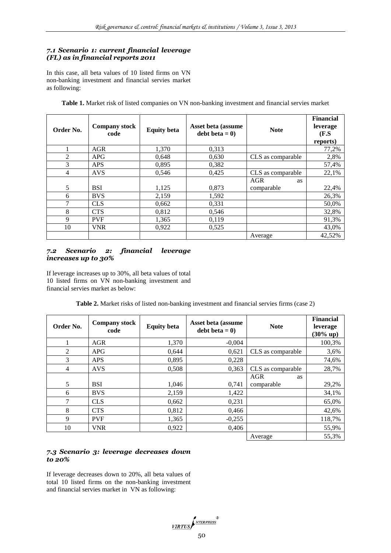## *7.1 Scenario 1: current financial leverage (FL) as in financial reports 2011*

In this case, all beta values of 10 listed firms on VN non-banking investment and financial servies market as following:

| Order No.      | <b>Company stock</b><br>code | <b>Equity beta</b> | Asset beta (assume<br>debt beta = $0$ ) | <b>Note</b>             | <b>Financial</b><br>leverage<br>(F.S)<br>reports) |
|----------------|------------------------------|--------------------|-----------------------------------------|-------------------------|---------------------------------------------------|
|                | <b>AGR</b>                   | 1,370              | 0,313                                   |                         | 77,2%                                             |
| $\overline{c}$ | <b>APG</b>                   | 0,648              | 0,630                                   | CLS as comparable       | 2,8%                                              |
| 3              | <b>APS</b>                   | 0,895              | 0,382                                   |                         | 57,4%                                             |
| 4              | <b>AVS</b>                   | 0,546              | 0,425                                   | CLS as comparable       | 22,1%                                             |
|                |                              |                    |                                         | <b>AGR</b><br><b>as</b> |                                                   |
| 5              | <b>BSI</b>                   | 1,125              | 0,873                                   | comparable              | 22,4%                                             |
| 6              | <b>BVS</b>                   | 2,159              | 1,592                                   |                         | 26,3%                                             |
| 7              | <b>CLS</b>                   | 0,662              | 0,331                                   |                         | 50,0%                                             |
| 8              | <b>CTS</b>                   | 0,812              | 0,546                                   |                         | 32,8%                                             |
| 9              | <b>PVF</b>                   | 1,365              | 0,119                                   |                         | 91,3%                                             |
| 10             | <b>VNR</b>                   | 0,922              | 0,525                                   |                         | 43,0%                                             |
|                |                              |                    |                                         | Average                 | 42,52%                                            |

**Table 1.** Market risk of listed companies on VN non-banking investment and financial servies market

## *7.2 Scenario 2: financial leverage increases up to 30%*

If leverage increases up to 30%, all beta values of total 10 listed firms on VN non-banking investment and financial servies market as below:

**Table 2.** Market risks of listed non-banking investment and financial servies firms (case 2)

| Order No.      | <b>Company stock</b><br>code | <b>Equity beta</b> | Asset beta (assume<br>debt beta $= 0$ | <b>Note</b>             | <b>Financial</b><br>leverage<br>$(30\% \text{ up})$ |
|----------------|------------------------------|--------------------|---------------------------------------|-------------------------|-----------------------------------------------------|
|                | <b>AGR</b>                   | 1,370              | $-0.004$                              |                         | 100,3%                                              |
| $\overline{2}$ | APG                          | 0,644              | 0,621                                 | CLS as comparable       | 3,6%                                                |
| 3              | <b>APS</b>                   | 0,895              | 0,228                                 |                         | 74,6%                                               |
| 4              | <b>AVS</b>                   | 0,508              | 0,363                                 | CLS as comparable       | 28,7%                                               |
|                |                              |                    |                                       | <b>AGR</b><br><b>as</b> |                                                     |
| 5              | <b>BSI</b>                   | 1,046              | 0,741                                 | comparable              | 29,2%                                               |
| 6              | <b>BVS</b>                   | 2,159              | 1,422                                 |                         | 34,1%                                               |
| 7              | <b>CLS</b>                   | 0,662              | 0,231                                 |                         | 65,0%                                               |
| 8              | <b>CTS</b>                   | 0,812              | 0,466                                 |                         | 42,6%                                               |
| 9              | <b>PVF</b>                   | 1,365              | $-0,255$                              |                         | 118,7%                                              |
| 10             | <b>VNR</b>                   | 0,922              | 0,406                                 |                         | 55,9%                                               |
|                |                              |                    |                                       | Average                 | 55,3%                                               |

## *7.3 Scenario 3: leverage decreases down to 20%*

If leverage decreases down to 20%, all beta values of total 10 listed firms on the non-banking investment and financial servies market in VN as following:

VIRTUS<br>50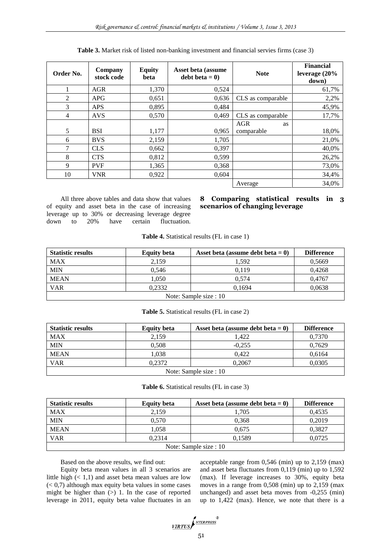| Order No.      | Company<br>stock code | <b>Equity</b><br>beta | Asset beta (assume<br>debt beta $= 0$ | <b>Note</b>       | <b>Financial</b><br>leverage (20%<br>down) |
|----------------|-----------------------|-----------------------|---------------------------------------|-------------------|--------------------------------------------|
| л.             | <b>AGR</b>            | 1,370                 | 0,524                                 |                   | 61,7%                                      |
| $\overline{2}$ | <b>APG</b>            | 0,651                 | 0,636                                 | CLS as comparable | 2,2%                                       |
| 3              | <b>APS</b>            | 0,895                 | 0.484                                 |                   | 45,9%                                      |
| $\overline{4}$ | <b>AVS</b>            | 0,570                 | 0,469                                 | CLS as comparable | 17,7%                                      |
|                |                       |                       |                                       | <b>AGR</b><br>as  |                                            |
| 5              | <b>BSI</b>            | 1,177                 | 0,965                                 | comparable        | 18,0%                                      |
| 6              | <b>BVS</b>            | 2,159                 | 1,705                                 |                   | 21,0%                                      |
| 7              | <b>CLS</b>            | 0,662                 | 0,397                                 |                   | 40,0%                                      |
| 8              | <b>CTS</b>            | 0,812                 | 0,599                                 |                   | 26,2%                                      |
| 9              | <b>PVF</b>            | 1,365                 | 0,368                                 |                   | 73,0%                                      |
| 10             | <b>VNR</b>            | 0,922                 | 0,604                                 |                   | 34,4%                                      |
|                |                       |                       |                                       | Average           | 34,0%                                      |

**Table 3.** Market risk of listed non-banking investment and financial servies firms (case 3)

All three above tables and data show that values of equity and asset beta in the case of increasing leverage up to 30% or decreasing leverage degree down to 20% have certain fluctuation.

## **8 Comparing statistical results in 3 scenarios of changing leverage**

| Table 4. Statistical results (FL in case 1) |  |  |  |  |  |  |  |
|---------------------------------------------|--|--|--|--|--|--|--|
|---------------------------------------------|--|--|--|--|--|--|--|

| <b>Statistic results</b> | <b>Equity beta</b> | Asset beta (assume debt beta $= 0$ ) | <b>Difference</b> |  |  |
|--------------------------|--------------------|--------------------------------------|-------------------|--|--|
| <b>MAX</b>               | 2,159              | 1.592                                | 0,5669            |  |  |
| <b>MIN</b>               | 0,546              | 0.119                                | 0,4268            |  |  |
| <b>MEAN</b>              | 1,050              | 0.574                                | 0,4767            |  |  |
| VAR                      | 0,2332             | 0.1694                               | 0,0638            |  |  |
| Note: Sample size : 10   |                    |                                      |                   |  |  |

#### **Table 5.** Statistical results (FL in case 2)

| <b>Statistic results</b> | <b>Equity beta</b> | Asset beta (assume debt beta $= 0$ ) | <b>Difference</b> |  |  |
|--------------------------|--------------------|--------------------------------------|-------------------|--|--|
| <b>MAX</b>               | 2.159              | 1.422                                | 0,7370            |  |  |
| <b>MIN</b>               | 0.508              | $-0.255$                             | 0.7629            |  |  |
| <b>MEAN</b>              | 1.038              | 0.422                                | 0,6164            |  |  |
| <b>VAR</b>               | 0.2372             | 0.2067                               | 0,0305            |  |  |
| Note: Sample size : 10   |                    |                                      |                   |  |  |

#### **Table 6.** Statistical results (FL in case 3)

| <b>Statistic results</b> | <b>Equity beta</b> | Asset beta (assume debt beta $= 0$ ) | <b>Difference</b> |  |  |
|--------------------------|--------------------|--------------------------------------|-------------------|--|--|
| <b>MAX</b>               | 2,159              | 1,705                                | 0,4535            |  |  |
| <b>MIN</b>               | 0.570              | 0.368                                | 0,2019            |  |  |
| <b>MEAN</b>              | 1.058              | 0.675                                | 0,3827            |  |  |
| <b>VAR</b>               | 0.2314             | 0.1589                               | 0,0725            |  |  |
| Note: Sample size : 10   |                    |                                      |                   |  |  |

Based on the above results, we find out:

Equity beta mean values in all 3 scenarios are little high  $(< 1,1)$  and asset beta mean values are low  $( $0.7$ ) although max equity beta values in some cases$ might be higher than  $(>)$  1. In the case of reported leverage in 2011, equity beta value fluctuates in an acceptable range from 0,546 (min) up to 2,159 (max) and asset beta fluctuates from 0,119 (min) up to 1,592 (max). If leverage increases to 30%, equity beta moves in a range from 0,508 (min) up to 2,159 (max unchanged) and asset beta moves from -0,255 (min) up to 1,422 (max). Hence, we note that there is a

$$
\underbrace{\textit{virtuss}^{\textit{Nterpress}}}
$$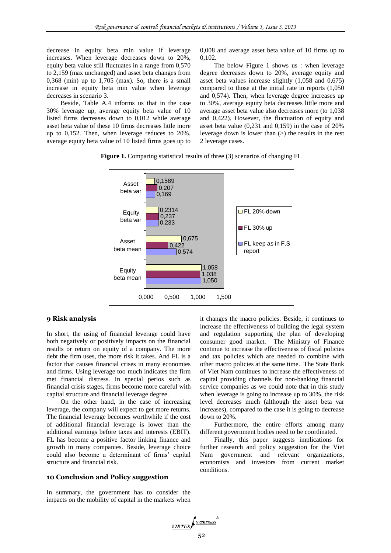decrease in equity beta min value if leverage increases. When leverage decreases down to 20%, equity beta value still fluctuates in a range from 0,570 to 2,159 (max unchanged) and asset beta changes from 0,368 (min) up to 1,705 (max). So, there is a small increase in equity beta min value when leverage decreases in scenario 3.

Beside, Table A.4 informs us that in the case 30% leverage up, average equity beta value of 10 listed firms decreases down to 0,012 while average asset beta value of these 10 firms decreases little more up to 0,152. Then, when leverage reduces to 20%, average equity beta value of 10 listed firms goes up to 0,008 and average asset beta value of 10 firms up to 0,102.

The below Figure 1 shows us : when leverage degree decreases down to 20%, average equity and asset beta values increase slightly (1,058 and 0,675) compared to those at the initial rate in reports (1,050 and 0,574). Then, when leverage degree increases up to 30%, average equity beta decreases little more and average asset beta value also decreases more (to 1,038 and 0,422). However, the fluctuation of equity and asset beta value (0,231 and 0,159) in the case of 20% leverage down is lower than  $(>)$  the results in the rest 2 leverage cases.

**Figure 1.** Comparing statistical results of three (3) scenarios of changing FL



### **9 Risk analysis**

In short, the using of financial leverage could have both negatively or positively impacts on the financial results or return on equity of a company. The more debt the firm uses, the more risk it takes. And FL is a factor that causes financial crises in many economies and firms. Using leverage too much indicates the firm met financial distress. In special perios such as financial crisis stages, firms become more careful with capital structure and financial leverage degree.

On the other hand, in the case of increasing leverage, the company will expect to get more returns. The financial leverage becomes worthwhile if the cost of additional financial leverage is lower than the additional earnings before taxes and interests (EBIT). FL has become a positive factor linking finance and growth in many companies. Beside, leverage choice could also become a determinant of firms' capital structure and financial risk.

#### **10 Conclusion and Policy suggestion**

In summary, the government has to consider the impacts on the mobility of capital in the markets when it changes the macro policies. Beside, it continues to increase the effectiveness of building the legal system and regulation supporting the plan of developing consumer good market. The Ministry of Finance continue to increase the effectiveness of fiscal policies and tax policies which are needed to combine with other macro policies at the same time. The State Bank of Viet Nam continues to increase the effectiveness of capital providing channels for non-banking financial service companies as we could note that in this study when leverage is going to increase up to 30%, the risk level decreases much (although the asset beta var increases), compared to the case it is going to decrease down to 20%.

Furthermore, the entire efforts among many different government bodies need to be coordinated.

Finally, this paper suggests implications for further research and policy suggestion for the Viet Nam government and relevant organizations, economists and investors from current market conditions.

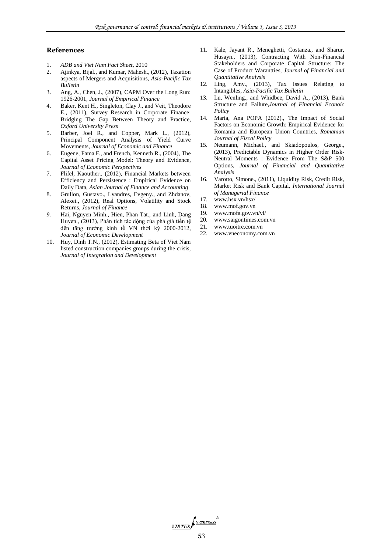#### **References**

- 1. *ADB and Viet Nam Fact Sheet,* 2010
- 2. Ajinkya, Bijal., and Kumar, Mahesh., (2012), Taxation aspects of Mergers and Acquisitions*, Asia-Pacific Tax Bulletin*
- 3. Ang, A., Chen, J., (2007), CAPM Over the Long Run: 1926-2001, *Journal of Empirical Finance*
- 4. Baker, Kent H., Singleton, Clay J., and Veit, Theodore E., (2011), Survey Research in Corporate Finance: Bridging The Gap Between Theory and Practice, *Oxford University Press*
- 5. Barber, Joel R., and Copper, Mark L., (2012), Principal Component Analysis of Yield Curve Movements, *Journal of Economic and Finance*
- 6. Eugene, Fama F., and French, Kenneth R., (2004), The Capital Asset Pricing Model: Theory and Evidence, *Journal of Economic Perspectives*
- 7. Flifel, Kaouther., (2012), Financial Markets between Efficiency and Persistence : Empirical Evidence on Daily Data, *Asian Journal of Finance and Accounting*
- 8. Grullon, Gustavo., Lyandres, Evgeny., and Zhdanov, Alexei., (2012), Real Options, Volatility and Stock Returns, *Journal of Finance*
- *9.* Hai, Nguyen Minh., Hien, Phan Tat., and Linh, Dang Huyen., (2013), Phân tích tác động của phá giá tiền tệ đến tăng trưởng kinh tế VN thời kỳ 2000-2012, *Journal of Economic Development*
- 10. Huy, Dinh T.N., (2012), Estimating Beta of Viet Nam listed construction companies groups during the crisis, *Journal of Integration and Development*
- 11. Kale, Jayant R., Meneghetti, Costanza., and Sharur, Husayn., (2013), Contracting With Non-Financial Stakeholders and Corporate Capital Structure: The Case of Product Warantties, *Journal of Financial and Quantitative Analysis*
- 12. Ling, Amy., (2013), Tax Issues Relating to Intangibles, *Asia-Pacific Tax Bulletin*
- 13. Lu, Wenling., and Whidbee, David A., (2013), Bank Structure and Failure,*Journal of Financial Econoic Policy*
- 14. Maria, Ana POPA (2012)., The Impact of Social Factors on Economic Growth: Empirical Evidence for Romania and European Union Countries, *Romanian Journal of Fiscal Policy*
- 15. Neumann, Michael., and Skiadopoulos, George., (2013), Predictable Dynamics in Higher Order Risk-Neutral Moments : Evidence From The S&P 500 Options, *Journal of Financial and Quantitative Analysis*
- 16. Varotto, Simone., (2011), Liquidity Risk, Credit Risk, Market Risk and Bank Capital, *International Journal of Managerial Finance*
- 17. www.hsx.vn/hsx/
- 18. [www.mof.gov.vn](http://www.mof.gov.vn/)
- 19. www.mofa.gov.vn/vi/
- 20. [www.saigontimes.com.vn](http://www.saigontimes.com.vn/) 21. [www.tuoitre.com.vn](http://www.tuoitre.com.vn/)
- 22. [www.vneconomy.com.vn](http://www.vneconomy.com.vn/)

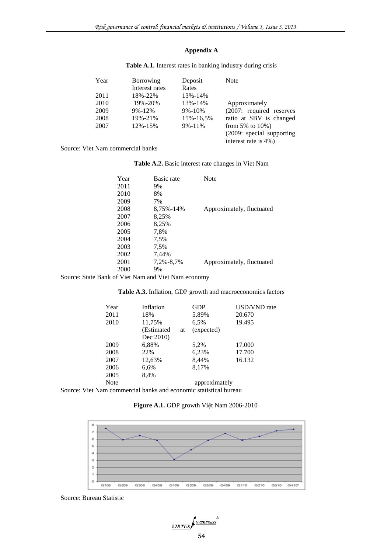# **Appendix A**

| Year | <b>Borrowing</b> | Deposit      | <b>Note</b>               |
|------|------------------|--------------|---------------------------|
|      | Interest rates   | Rates        |                           |
| 2011 | 18%-22%          | 13%-14%      |                           |
| 2010 | 19%-20%          | 13%-14%      | Approximately             |
| 2009 | $9\% - 12\%$     | $9\% - 10\%$ | (2007: required reserves  |
| 2008 | 19%-21%          | 15%-16.5%    | ratio at SBV is changed   |
| 2007 | 12%-15%          | $9\% - 11\%$ | from 5% to $10\%$ )       |
|      |                  |              | (2009: special supporting |
|      |                  |              | interest rate is 4%)      |

## **Table A.1.** Interest rates in banking industry during crisis

Source: Viet Nam commercial banks

**Table A.2.** Basic interest rate changes in Viet Nam

| Year | Basic rate | <b>Note</b>               |
|------|------------|---------------------------|
| 2011 | 9%         |                           |
| 2010 | 8%         |                           |
| 2009 | 7%         |                           |
| 2008 | 8,75%-14%  | Approximately, fluctuated |
| 2007 | 8,25%      |                           |
| 2006 | 8,25%      |                           |
| 2005 | 7.8%       |                           |
| 2004 | 7,5%       |                           |
| 2003 | 7,5%       |                           |
| 2002 | 7.44%      |                           |
| 2001 | 7,2%-8,7%  | Approximately, fluctuated |
| 2000 | 9%         |                           |
|      |            |                           |

Source: State Bank of Viet Nam and Viet Nam economy

## **Table A.3.** Inflation, GDP growth and macroeconomics factors

| Year        | Inflation   |    | <b>GDP</b>    | <b>USD/VND</b> rate |
|-------------|-------------|----|---------------|---------------------|
| 2011        | 18%         |    | 5,89%         | 20.670              |
| 2010        | 11,75%      |    | 6,5%          | 19.495              |
|             | (Estimated) | at | (expected)    |                     |
|             | Dec 2010)   |    |               |                     |
| 2009        | 6,88%       |    | 5,2%          | 17.000              |
| 2008        | 22%         |    | 6,23%         | 17.700              |
| 2007        | 12,63%      |    | 8,44%         | 16.132              |
| 2006        | 6,6%        |    | 8,17%         |                     |
| 2005        | 8,4%        |    |               |                     |
| <b>Note</b> |             |    | approximately |                     |
|             |             |    |               |                     |

Source: Viet Nam commercial banks and economic statistical bureau

**Figure A.1.** GDP growth Việt Nam 2006-2010



Source: Bureau Statistic